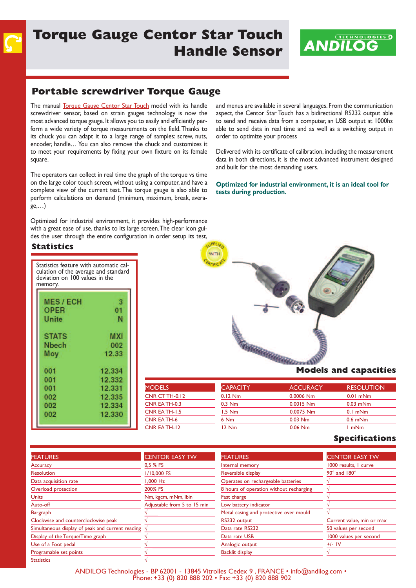# **Torque Gauge Centor Star Touch Handle Sensor**



### **Portable screwdriver Torque Gauge**

The manual Torque Gauge Centor Star Touch model with its handle screwdriver sensor, based on strain gauges technology is now the most advanced torque gauge. It allows you to easily and efficiently perform a wide variety of torque measurements on the field.Thanks to its chuck you can adapt it to a large range of samples: screw, nuts, encoder, handle… You can also remove the chuck and customizes it to meet your requirements by fixing your own fixture on its female square.

The operators can collect in real time the graph of the torque vs time on the large color touch screen, without using a computer, and have a complete view of the current test. The torque gauge is also able to perform calculations on demand (minimum, maximum, break, average,…)

Optimized for industrial environment, it provides high-performance with a great ease of use, thanks to its large screen.The clear icon guides the user through the entire configuration in order setup its test, and menus are available in several languages. From the communication aspect, the Centor Star Touch has a bidirectional RS232 output able to send and receive data from a computer, an USB output at 1000hz able to send data in real time and as well as a switching output in order to optimize your process

Delivered with its certificate of calibration, including the measurement data in both directions, it is the most advanced instrument designed and built for the most demanding users.

**Optimized for industrial environment, it is an ideal tool for tests during production.**

### **Statistics**

| Statistics feature with automatic cal-<br>culation of the average and standard<br>deviation on 100 values in the<br>memory. |            |  |  |
|-----------------------------------------------------------------------------------------------------------------------------|------------|--|--|
|                                                                                                                             |            |  |  |
| <b>MES/ECH</b>                                                                                                              | ß          |  |  |
| <b>OPER</b>                                                                                                                 | 01         |  |  |
| <b>Unite</b>                                                                                                                | Ν          |  |  |
|                                                                                                                             |            |  |  |
| <b>STATS</b>                                                                                                                | <b>MXI</b> |  |  |
| Nbech                                                                                                                       | 002        |  |  |
| Moy                                                                                                                         | 12.33      |  |  |
| 001                                                                                                                         | 12.334     |  |  |
| 001                                                                                                                         | 12.332     |  |  |
| 001                                                                                                                         | 12.331     |  |  |
| 002                                                                                                                         | 12.335     |  |  |
| 002                                                                                                                         | 12.334     |  |  |
| 002                                                                                                                         | 12.330     |  |  |
|                                                                                                                             |            |  |  |



| <b>MODELS</b>         | <b>CAPACITY</b> | <b>ACCURACY</b> | <b>RESOLUTION</b> |
|-----------------------|-----------------|-----------------|-------------------|
| <b>CNR CT TH-0.12</b> | $0.12$ Nm       | $0.0006$ Nm     | $0.01$ mNm        |
| CNR EA TH-0.3         | $0.3$ Nm        | $0.0015$ Nm     | $0.03$ mNm        |
| CNR EA TH-1,5         | $1.5$ Nm        | $0.0075$ Nm     | $0.1$ mNm         |
| <b>CNR EA TH-6</b>    | 6 Nm            | $0.03$ Nm       | $0.6$ mNm         |
| CNR EA TH-12          | $12$ Nm         | $0.06$ Nm       | ImNm              |

#### **Specifications**

| <b>FEATURES</b>                                  | <b>CENTOR EASY TW</b>       | <b>FEATURES</b>                         | <b>CENTOR EASY TW</b>      |
|--------------------------------------------------|-----------------------------|-----------------------------------------|----------------------------|
| Accuracy                                         | 0.5 % FS                    | Internal memory                         | 1000 results, I curve      |
| <b>Resolution</b>                                | 1/10,000 FS                 | Reversible display                      | $90^\circ$ and $180^\circ$ |
| Data acquisition rate                            | I.000 Hz                    | Operates on rechargeable batteries      |                            |
| Overload protection                              | 200% FS                     | 8 hours of operation without recharging |                            |
| <b>Units</b>                                     | Nm, kgcm, mNm, lbin         | Fast charge                             |                            |
| Auto-off                                         | Adjustable from 5 to 15 min | Low battery indicator                   |                            |
| <b>Bargraph</b>                                  |                             | Metal casing and protective over mould  |                            |
| Clockwise and counterclockwise peak              |                             | RS232 output                            | Current value, min or max  |
| Simultaneous display of peak and current reading |                             | Data rate RS232                         | 50 values per second       |
| Display of the Torque/Time graph                 |                             | Data rate USB                           | 1000 values per second     |
| Use of a Foot pedal                              |                             | Analogic output                         | $+/-$ IV                   |
| Programable set points                           |                             | <b>Backlit display</b>                  |                            |
| <b>Statistics</b>                                |                             |                                         |                            |

ANDILOG Technologies - Bp <sup>62001</sup> - <sup>13845</sup> Vitrolles Cedex <sup>9</sup> , FRANCE • info@andilog.com • phone: +33 (0) <sup>820</sup> <sup>888</sup> <sup>202</sup> • Fax: +33 (0) <sup>820</sup> <sup>888</sup> <sup>902</sup>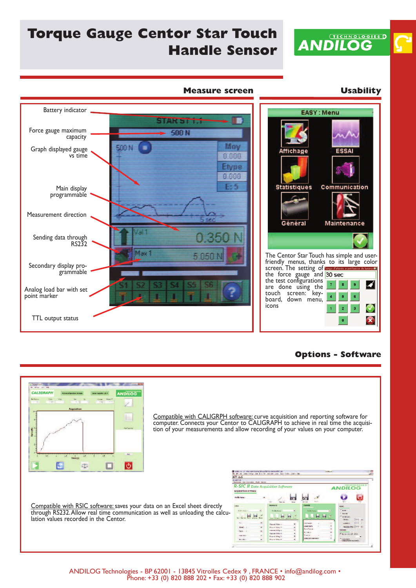

# **Torque Gauge Centor Star Touch Handle Sensor**



### **Options - Software**



Compatible with CALIGRpH software: curve acquisition and reporting software for computer. Connects your Centor to CALIGRAPH to achieve in real time the acquisi-<br>tion of your measurements and allow recording of your values on your computer.

Compatible with RSIC software: saves your data on an Excel sheet directly through RS232.Allow real time communication as well as unloading the calcu-<br>lation values recorded in the Centor.